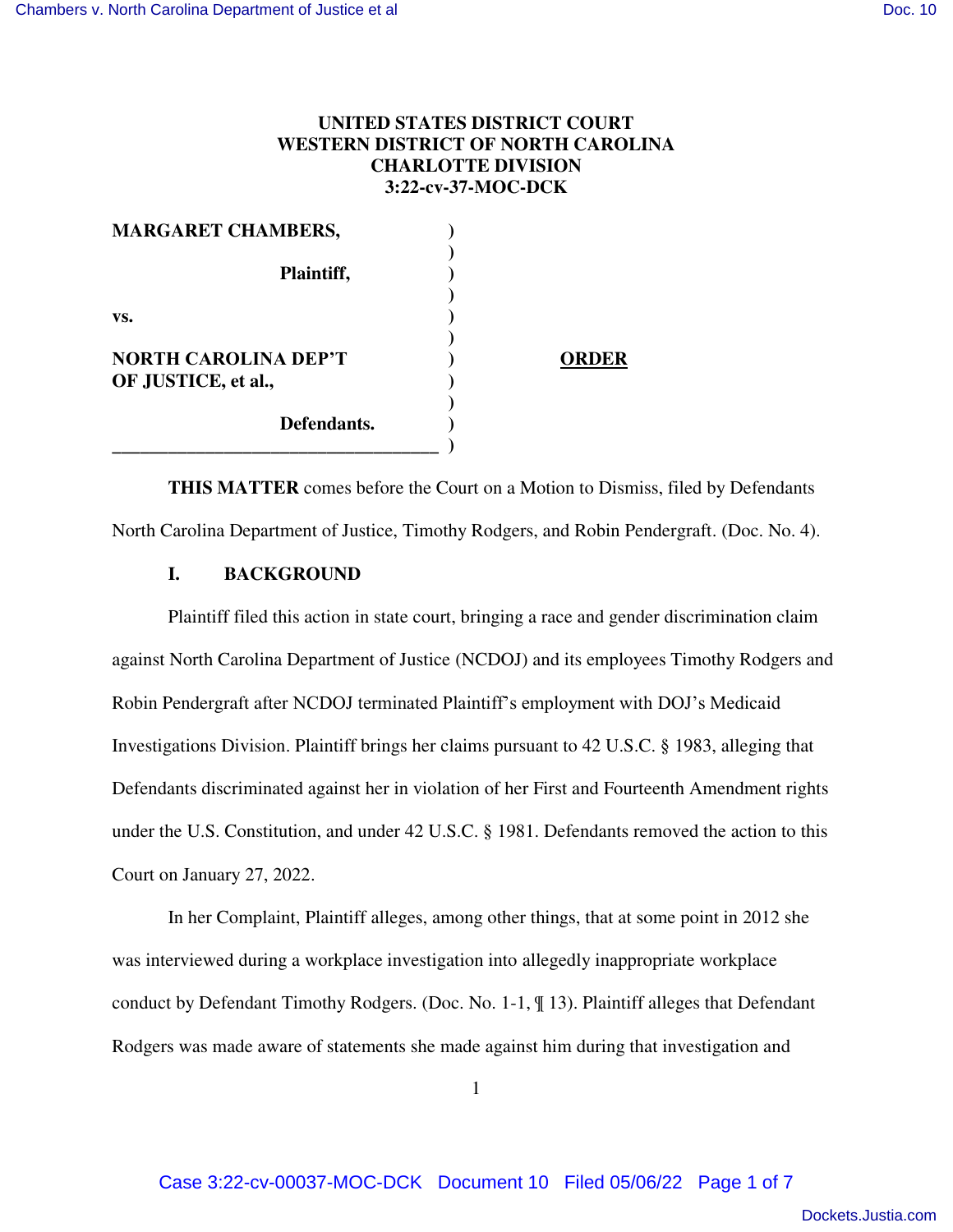# **UNITED STATES DISTRICT COURT WESTERN DISTRICT OF NORTH CAROLINA CHARLOTTE DIVISION 3:22-cv-37-MOC-DCK**

| <b>MARGARET CHAMBERS,</b>                          |              |
|----------------------------------------------------|--------------|
| Plaintiff,                                         |              |
| VS.                                                |              |
| <b>NORTH CAROLINA DEP'T</b><br>OF JUSTICE, et al., | <b>ORDER</b> |
| Defendants.                                        |              |

**THIS MATTER** comes before the Court on a Motion to Dismiss, filed by Defendants North Carolina Department of Justice, Timothy Rodgers, and Robin Pendergraft. (Doc. No. 4).

## **I. BACKGROUND**

Plaintiff filed this action in state court, bringing a race and gender discrimination claim against North Carolina Department of Justice (NCDOJ) and its employees Timothy Rodgers and Robin Pendergraft after NCDOJ terminated Plaintiff's employment with DOJ's Medicaid Investigations Division. Plaintiff brings her claims pursuant to 42 U.S.C. § 1983, alleging that Defendants discriminated against her in violation of her First and Fourteenth Amendment rights under the U.S. Constitution, and under 42 U.S.C. § 1981. Defendants removed the action to this Court on January 27, 2022.

In her Complaint, Plaintiff alleges, among other things, that at some point in 2012 she was interviewed during a workplace investigation into allegedly inappropriate workplace conduct by Defendant Timothy Rodgers. (Doc. No. 1-1, ¶ 13). Plaintiff alleges that Defendant Rodgers was made aware of statements she made against him during that investigation and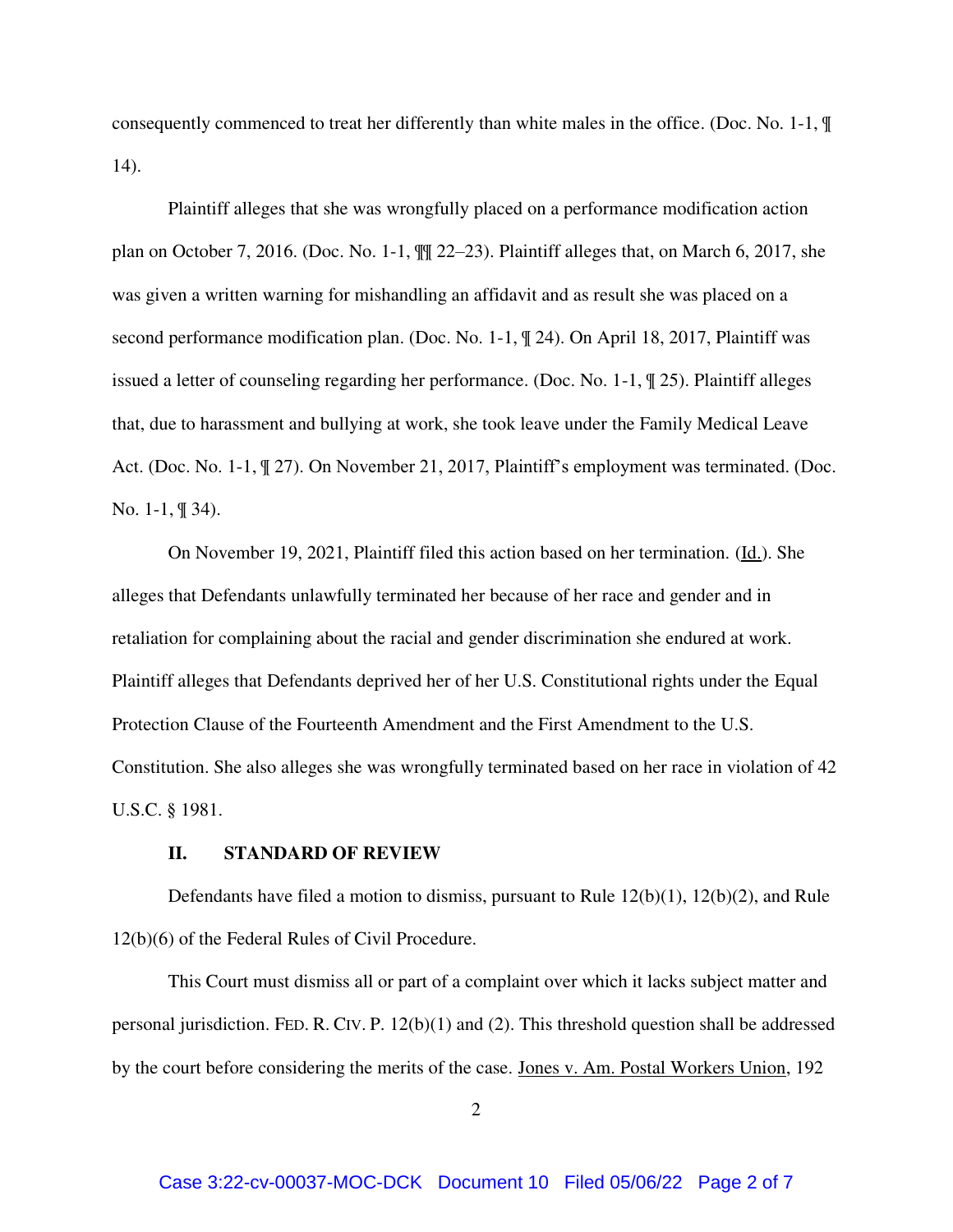consequently commenced to treat her differently than white males in the office. (Doc. No. 1-1, ¶ 14).

Plaintiff alleges that she was wrongfully placed on a performance modification action plan on October 7, 2016. (Doc. No. 1-1, ¶¶ 22–23). Plaintiff alleges that, on March 6, 2017, she was given a written warning for mishandling an affidavit and as result she was placed on a second performance modification plan. (Doc. No. 1-1, ¶ 24). On April 18, 2017, Plaintiff was issued a letter of counseling regarding her performance. (Doc. No. 1-1, ¶ 25). Plaintiff alleges that, due to harassment and bullying at work, she took leave under the Family Medical Leave Act. (Doc. No. 1-1, ¶ 27). On November 21, 2017, Plaintiff's employment was terminated. (Doc. No. 1-1, ¶ 34).

On November 19, 2021, Plaintiff filed this action based on her termination. (Id.). She alleges that Defendants unlawfully terminated her because of her race and gender and in retaliation for complaining about the racial and gender discrimination she endured at work. Plaintiff alleges that Defendants deprived her of her U.S. Constitutional rights under the Equal Protection Clause of the Fourteenth Amendment and the First Amendment to the U.S. Constitution. She also alleges she was wrongfully terminated based on her race in violation of 42 U.S.C. § 1981.

#### **II. STANDARD OF REVIEW**

Defendants have filed a motion to dismiss, pursuant to Rule 12(b)(1), 12(b)(2), and Rule 12(b)(6) of the Federal Rules of Civil Procedure.

This Court must dismiss all or part of a complaint over which it lacks subject matter and personal jurisdiction. FED. R. CIV. P.  $12(b)(1)$  and (2). This threshold question shall be addressed by the court before considering the merits of the case. Jones v. Am. Postal Workers Union, 192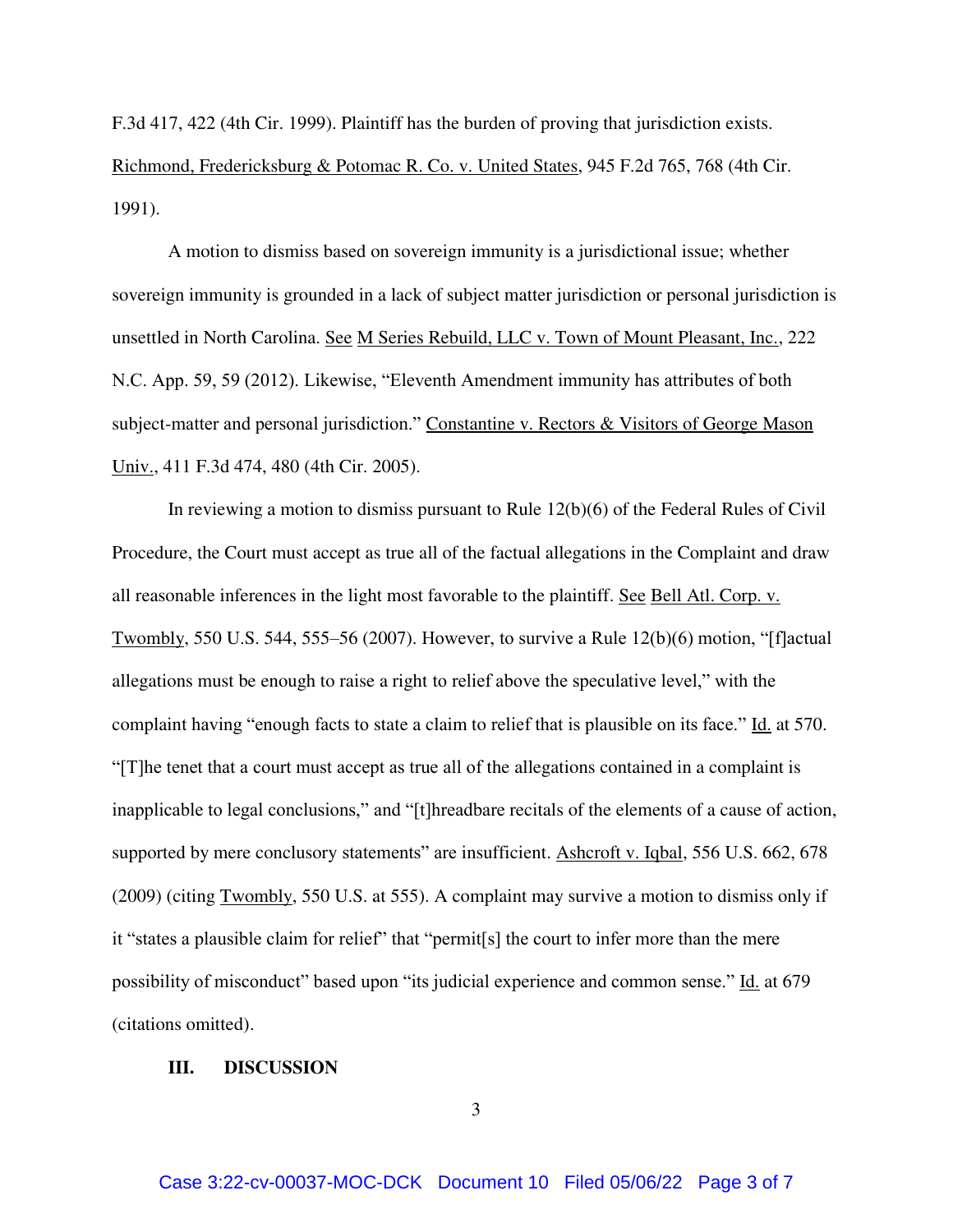F.3d 417, 422 (4th Cir. 1999). Plaintiff has the burden of proving that jurisdiction exists. Richmond, Fredericksburg & Potomac R. Co. v. United States, 945 F.2d 765, 768 (4th Cir. 1991).

A motion to dismiss based on sovereign immunity is a jurisdictional issue; whether sovereign immunity is grounded in a lack of subject matter jurisdiction or personal jurisdiction is unsettled in North Carolina. See M Series Rebuild, LLC v. Town of Mount Pleasant, Inc., 222 N.C. App. 59, 59 (2012). Likewise, "Eleventh Amendment immunity has attributes of both subject-matter and personal jurisdiction." Constantine v. Rectors & Visitors of George Mason Univ., 411 F.3d 474, 480 (4th Cir. 2005).

In reviewing a motion to dismiss pursuant to Rule 12(b)(6) of the Federal Rules of Civil Procedure, the Court must accept as true all of the factual allegations in the Complaint and draw all reasonable inferences in the light most favorable to the plaintiff. See Bell Atl. Corp. v. Twombly, 550 U.S. 544, 555–56 (2007). However, to survive a Rule 12(b)(6) motion, "[f]actual allegations must be enough to raise a right to relief above the speculative level," with the complaint having "enough facts to state a claim to relief that is plausible on its face." Id. at 570. "[T]he tenet that a court must accept as true all of the allegations contained in a complaint is inapplicable to legal conclusions," and "[t]hreadbare recitals of the elements of a cause of action, supported by mere conclusory statements" are insufficient. Ashcroft v. Iqbal, 556 U.S. 662, 678 (2009) (citing Twombly, 550 U.S. at 555). A complaint may survive a motion to dismiss only if it "states a plausible claim for relief" that "permit<sup>[s]</sup> the court to infer more than the mere possibility of misconduct" based upon "its judicial experience and common sense." Id. at 679 (citations omitted).

#### **III. DISCUSSION**

3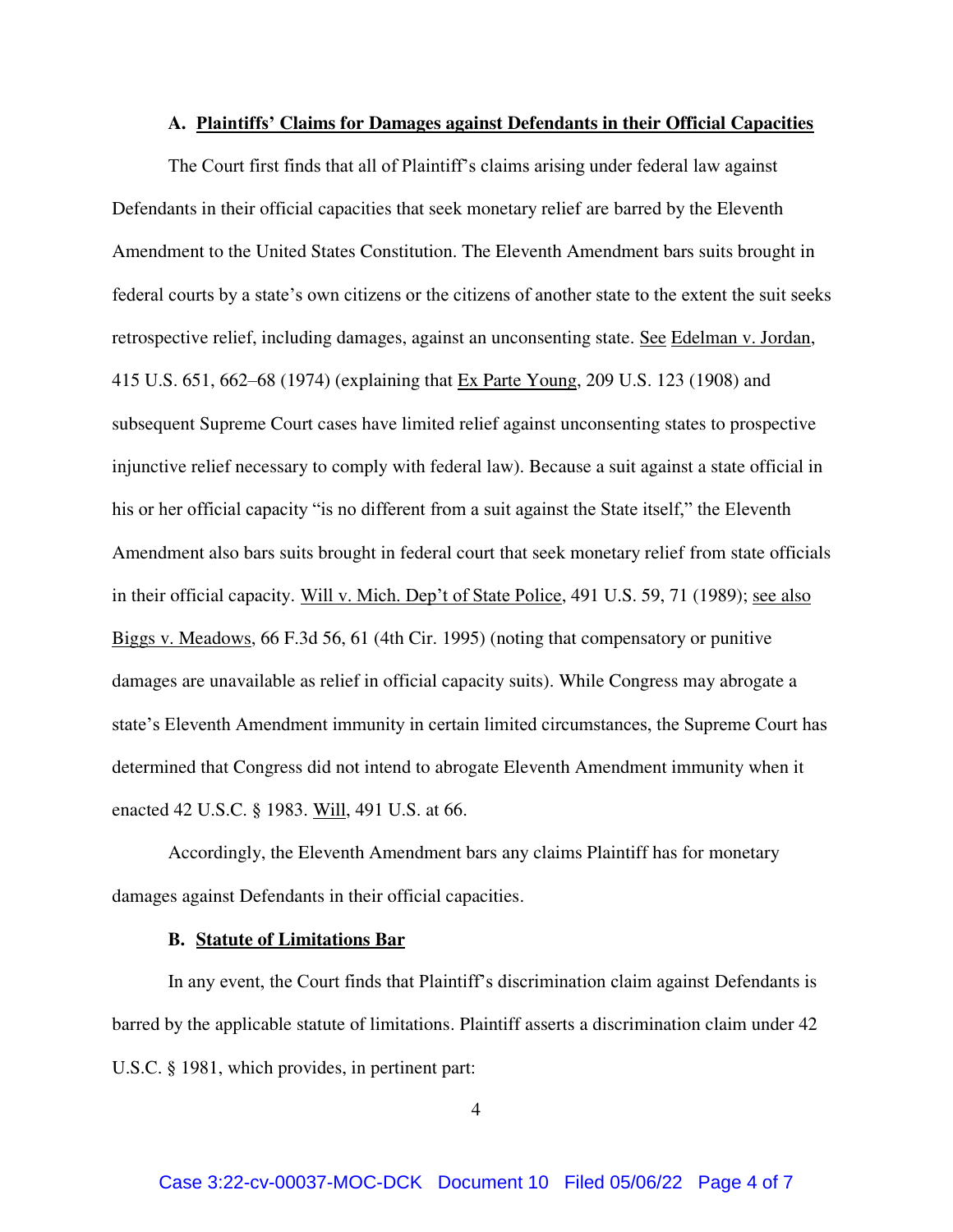#### **A. Plaintiffs' Claims for Damages against Defendants in their Official Capacities**

The Court first finds that all of Plaintiff's claims arising under federal law against Defendants in their official capacities that seek monetary relief are barred by the Eleventh Amendment to the United States Constitution. The Eleventh Amendment bars suits brought in federal courts by a state's own citizens or the citizens of another state to the extent the suit seeks retrospective relief, including damages, against an unconsenting state. See Edelman v. Jordan, 415 U.S. 651, 662–68 (1974) (explaining that Ex Parte Young, 209 U.S. 123 (1908) and subsequent Supreme Court cases have limited relief against unconsenting states to prospective injunctive relief necessary to comply with federal law). Because a suit against a state official in his or her official capacity "is no different from a suit against the State itself," the Eleventh Amendment also bars suits brought in federal court that seek monetary relief from state officials in their official capacity. Will v. Mich. Dep't of State Police, 491 U.S. 59, 71 (1989); see also Biggs v. Meadows, 66 F.3d 56, 61 (4th Cir. 1995) (noting that compensatory or punitive damages are unavailable as relief in official capacity suits). While Congress may abrogate a state's Eleventh Amendment immunity in certain limited circumstances, the Supreme Court has determined that Congress did not intend to abrogate Eleventh Amendment immunity when it enacted 42 U.S.C. § 1983. Will, 491 U.S. at 66.

Accordingly, the Eleventh Amendment bars any claims Plaintiff has for monetary damages against Defendants in their official capacities.

#### **B. Statute of Limitations Bar**

In any event, the Court finds that Plaintiff's discrimination claim against Defendants is barred by the applicable statute of limitations. Plaintiff asserts a discrimination claim under 42 U.S.C. § 1981, which provides, in pertinent part:

4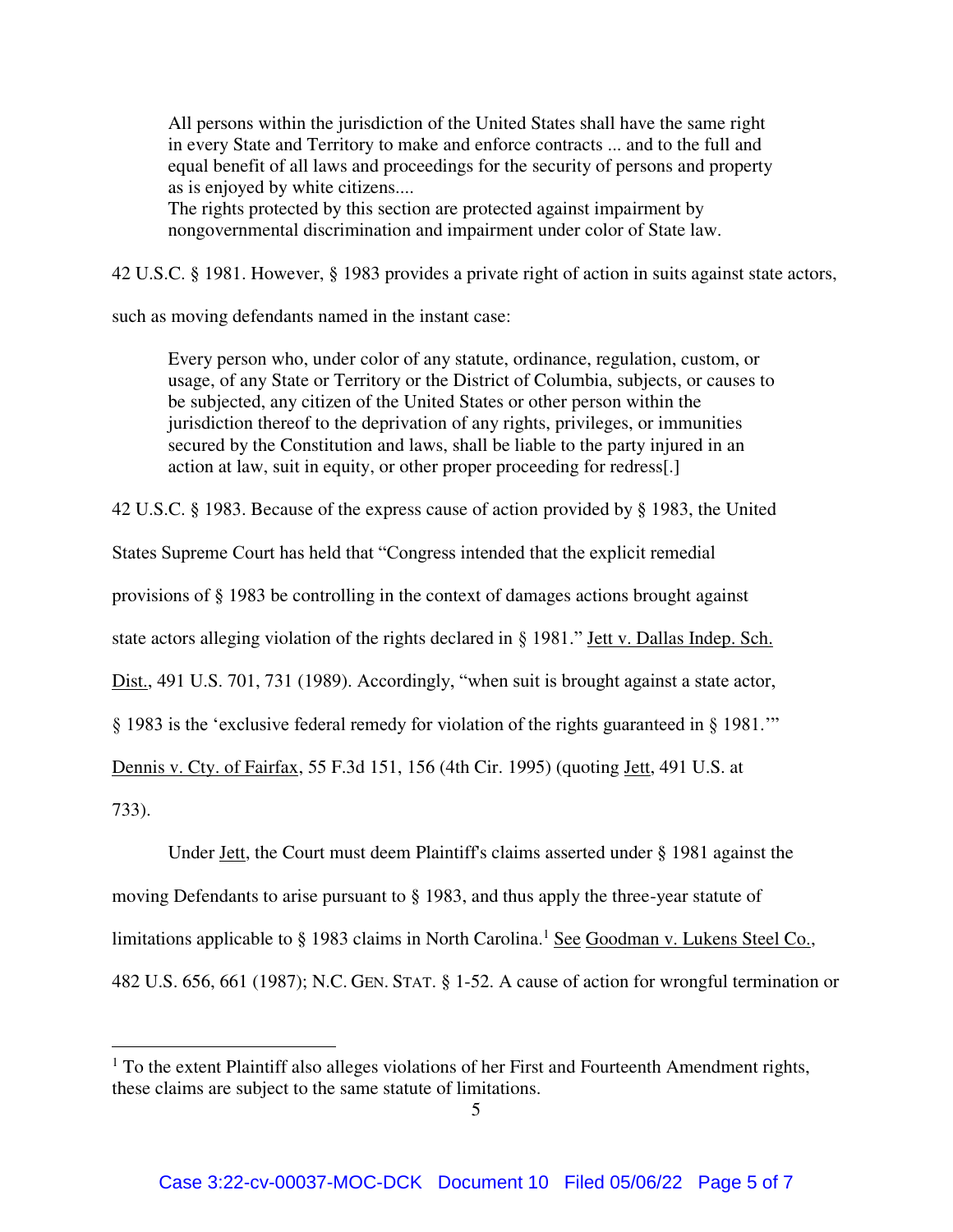All persons within the jurisdiction of the United States shall have the same right in every State and Territory to make and enforce contracts ... and to the full and equal benefit of all laws and proceedings for the security of persons and property as is enjoyed by white citizens....

The rights protected by this section are protected against impairment by nongovernmental discrimination and impairment under color of State law.

42 U.S.C. § 1981. However, § 1983 provides a private right of action in suits against state actors,

such as moving defendants named in the instant case:

Every person who, under color of any statute, ordinance, regulation, custom, or usage, of any State or Territory or the District of Columbia, subjects, or causes to be subjected, any citizen of the United States or other person within the jurisdiction thereof to the deprivation of any rights, privileges, or immunities secured by the Constitution and laws, shall be liable to the party injured in an action at law, suit in equity, or other proper proceeding for redress[.]

42 U.S.C. § 1983. Because of the express cause of action provided by § 1983, the United

States Supreme Court has held that "Congress intended that the explicit remedial

provisions of § 1983 be controlling in the context of damages actions brought against

state actors alleging violation of the rights declared in § 1981." Jett v. Dallas Indep. Sch.

Dist., 491 U.S. 701, 731 (1989). Accordingly, "when suit is brought against a state actor,

§ 1983 is the 'exclusive federal remedy for violation of the rights guaranteed in § 1981.'"

Dennis v. Cty. of Fairfax, 55 F.3d 151, 156 (4th Cir. 1995) (quoting Jett, 491 U.S. at

733).

 $\overline{a}$ 

Under Jett, the Court must deem Plaintiff's claims asserted under § 1981 against the

moving Defendants to arise pursuant to § 1983, and thus apply the three-year statute of

limitations applicable to § 1983 claims in North Carolina.<sup>1</sup> See Goodman v. Lukens Steel Co.,

482 U.S. 656, 661 (1987); N.C. GEN. STAT. § 1-52. A cause of action for wrongful termination or

<sup>&</sup>lt;sup>1</sup> To the extent Plaintiff also alleges violations of her First and Fourteenth Amendment rights, these claims are subject to the same statute of limitations.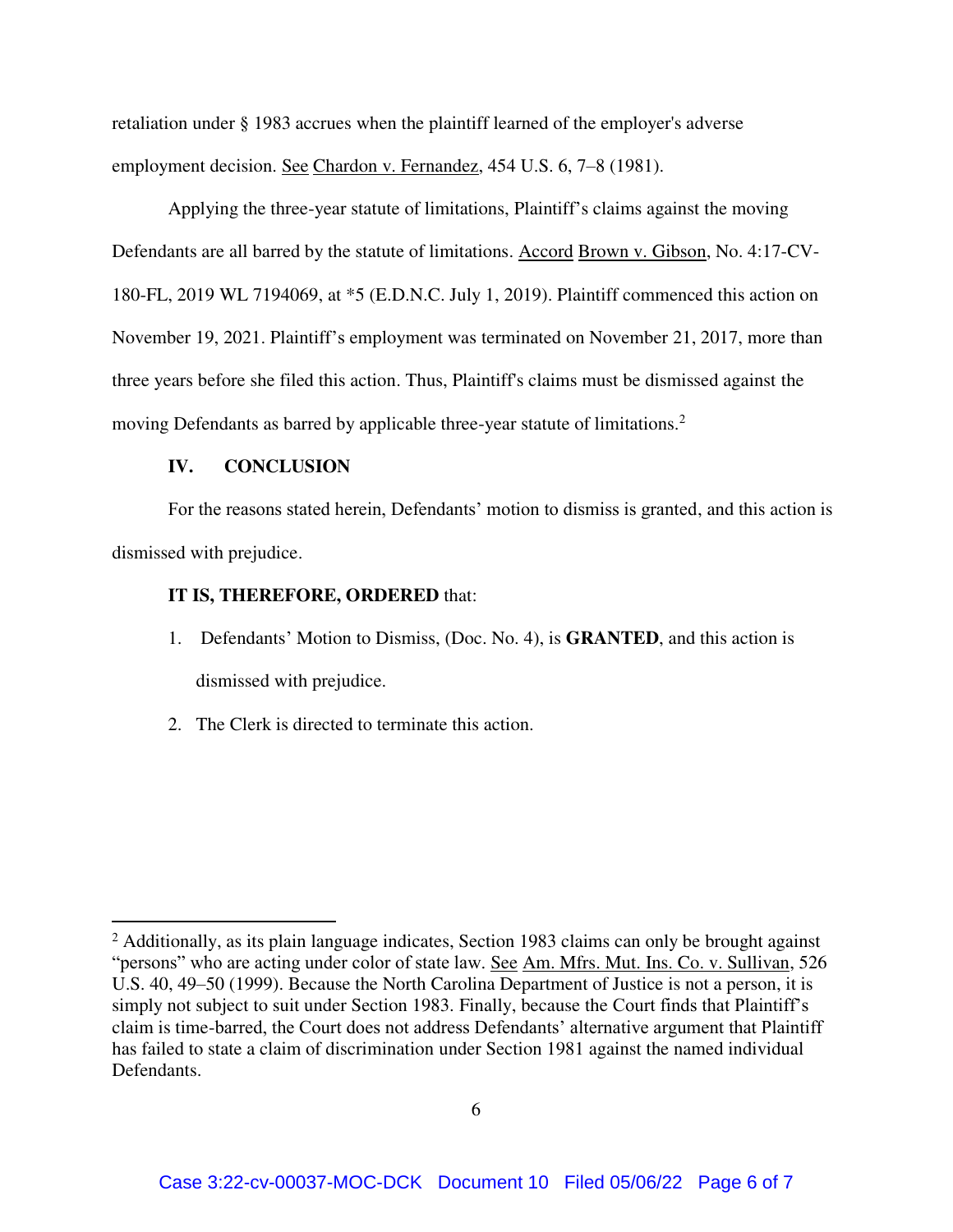retaliation under § 1983 accrues when the plaintiff learned of the employer's adverse employment decision. See Chardon v. Fernandez, 454 U.S. 6, 7–8 (1981).

Applying the three-year statute of limitations, Plaintiff's claims against the moving Defendants are all barred by the statute of limitations. Accord Brown v. Gibson, No. 4:17-CV-180-FL, 2019 WL 7194069, at \*5 (E.D.N.C. July 1, 2019). Plaintiff commenced this action on November 19, 2021. Plaintiff's employment was terminated on November 21, 2017, more than three years before she filed this action. Thus, Plaintiff's claims must be dismissed against the moving Defendants as barred by applicable three-year statute of limitations.<sup>2</sup>

### **IV. CONCLUSION**

 $\overline{a}$ 

For the reasons stated herein, Defendants' motion to dismiss is granted, and this action is dismissed with prejudice.

## **IT IS, THEREFORE, ORDERED** that:

- 1. Defendants' Motion to Dismiss, (Doc. No. 4), is **GRANTED**, and this action is dismissed with prejudice.
- 2. The Clerk is directed to terminate this action.

<sup>&</sup>lt;sup>2</sup> Additionally, as its plain language indicates, Section 1983 claims can only be brought against "persons" who are acting under color of state law. See Am. Mfrs. Mut. Ins. Co. v. Sullivan, 526 U.S. 40, 49–50 (1999). Because the North Carolina Department of Justice is not a person, it is simply not subject to suit under Section 1983. Finally, because the Court finds that Plaintiff's claim is time-barred, the Court does not address Defendants' alternative argument that Plaintiff has failed to state a claim of discrimination under Section 1981 against the named individual Defendants.